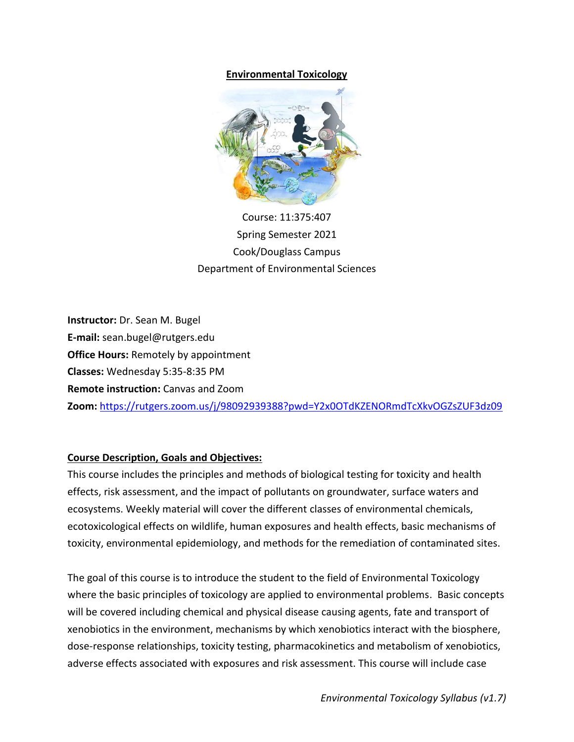### **Environmental Toxicology**



Course: 11:375:407 Spring Semester 2021 Cook/Douglass Campus Department of Environmental Sciences

**Instructor:** Dr. Sean M. Bugel **E-mail:** sean.bugel@rutgers.edu **Office Hours:** Remotely by appointment **Classes:** Wednesday 5:35-8:35 PM **Remote instruction:** Canvas and Zoom **Zoom:** <https://rutgers.zoom.us/j/98092939388?pwd=Y2x0OTdKZENORmdTcXkvOGZsZUF3dz09>

#### **Course Description, Goals and Objectives:**

This course includes the principles and methods of biological testing for toxicity and health effects, risk assessment, and the impact of pollutants on groundwater, surface waters and ecosystems. Weekly material will cover the different classes of environmental chemicals, ecotoxicological effects on wildlife, human exposures and health effects, basic mechanisms of toxicity, environmental epidemiology, and methods for the remediation of contaminated sites.

The goal of this course is to introduce the student to the field of Environmental Toxicology where the basic principles of toxicology are applied to environmental problems. Basic concepts will be covered including chemical and physical disease causing agents, fate and transport of xenobiotics in the environment, mechanisms by which xenobiotics interact with the biosphere, dose-response relationships, toxicity testing, pharmacokinetics and metabolism of xenobiotics, adverse effects associated with exposures and risk assessment. This course will include case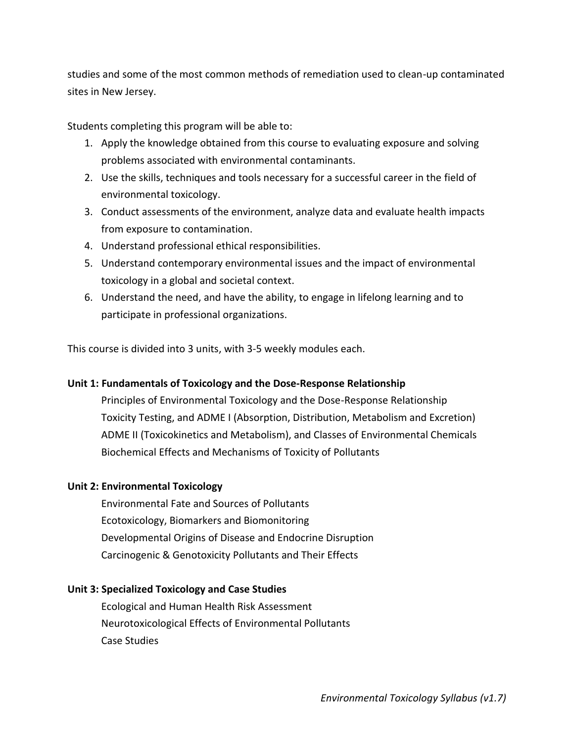studies and some of the most common methods of remediation used to clean-up contaminated sites in New Jersey.

Students completing this program will be able to:

- 1. Apply the knowledge obtained from this course to evaluating exposure and solving problems associated with environmental contaminants.
- 2. Use the skills, techniques and tools necessary for a successful career in the field of environmental toxicology.
- 3. Conduct assessments of the environment, analyze data and evaluate health impacts from exposure to contamination.
- 4. Understand professional ethical responsibilities.
- 5. Understand contemporary environmental issues and the impact of environmental toxicology in a global and societal context.
- 6. Understand the need, and have the ability, to engage in lifelong learning and to participate in professional organizations.

This course is divided into 3 units, with 3-5 weekly modules each.

# **Unit 1: Fundamentals of Toxicology and the Dose-Response Relationship**

Principles of Environmental Toxicology and the Dose-Response Relationship Toxicity Testing, and ADME I (Absorption, Distribution, Metabolism and Excretion) ADME II (Toxicokinetics and Metabolism), and Classes of Environmental Chemicals Biochemical Effects and Mechanisms of Toxicity of Pollutants

# **Unit 2: Environmental Toxicology**

Environmental Fate and Sources of Pollutants Ecotoxicology, Biomarkers and Biomonitoring Developmental Origins of Disease and Endocrine Disruption Carcinogenic & Genotoxicity Pollutants and Their Effects

# **Unit 3: Specialized Toxicology and Case Studies**

Ecological and Human Health Risk Assessment Neurotoxicological Effects of Environmental Pollutants Case Studies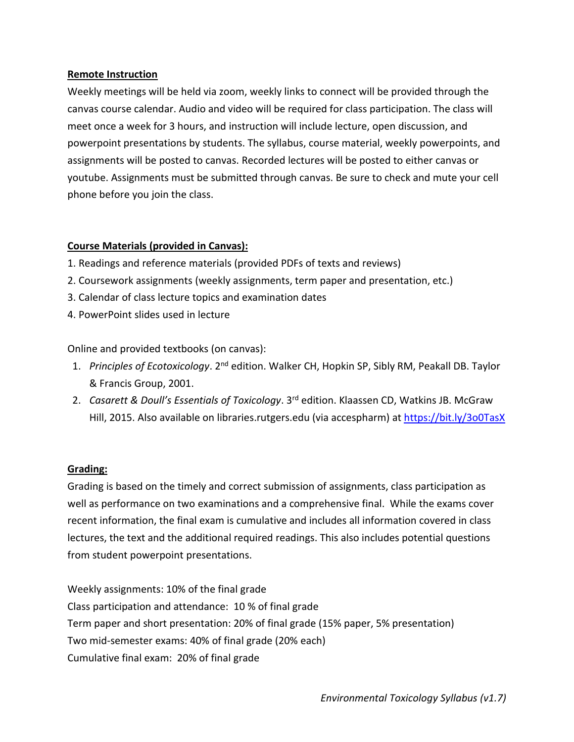#### **Remote Instruction**

Weekly meetings will be held via zoom, weekly links to connect will be provided through the canvas course calendar. Audio and video will be required for class participation. The class will meet once a week for 3 hours, and instruction will include lecture, open discussion, and powerpoint presentations by students. The syllabus, course material, weekly powerpoints, and assignments will be posted to canvas. Recorded lectures will be posted to either canvas or youtube. Assignments must be submitted through canvas. Be sure to check and mute your cell phone before you join the class.

### **Course Materials (provided in Canvas):**

- 1. Readings and reference materials (provided PDFs of texts and reviews)
- 2. Coursework assignments (weekly assignments, term paper and presentation, etc.)
- 3. Calendar of class lecture topics and examination dates
- 4. PowerPoint slides used in lecture

Online and provided textbooks (on canvas):

- 1. *Principles of Ecotoxicology*. 2<sup>nd</sup> edition. Walker CH, Hopkin SP, Sibly RM, Peakall DB. Taylor & Francis Group, 2001.
- 2. *Casarett & Doull's Essentials of Toxicology*. 3rd edition. Klaassen CD, Watkins JB. McGraw Hill, 2015. Also available on libraries.rutgers.edu (via accespharm) at <https://bit.ly/3o0TasX>

# **Grading:**

Grading is based on the timely and correct submission of assignments, class participation as well as performance on two examinations and a comprehensive final. While the exams cover recent information, the final exam is cumulative and includes all information covered in class lectures, the text and the additional required readings. This also includes potential questions from student powerpoint presentations.

Weekly assignments: 10% of the final grade Class participation and attendance: 10 % of final grade Term paper and short presentation: 20% of final grade (15% paper, 5% presentation) Two mid-semester exams: 40% of final grade (20% each) Cumulative final exam: 20% of final grade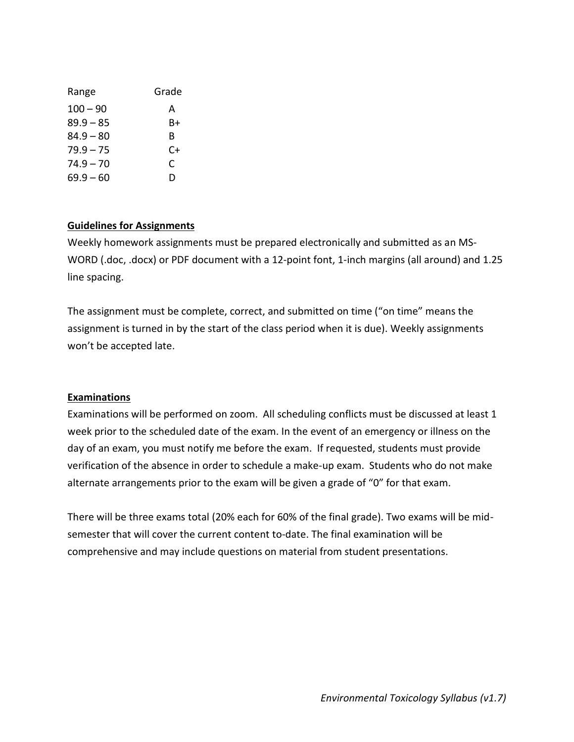| Range       | Grade |
|-------------|-------|
| $100 - 90$  | А     |
| $89.9 - 85$ | B+    |
| $84.9 - 80$ | R     |
| $79.9 - 75$ | C+    |
| $74.9 - 70$ | C     |
| 69.9 – 60   | D     |

### **Guidelines for Assignments**

Weekly homework assignments must be prepared electronically and submitted as an MS-WORD (.doc, .docx) or PDF document with a 12-point font, 1-inch margins (all around) and 1.25 line spacing.

The assignment must be complete, correct, and submitted on time ("on time" means the assignment is turned in by the start of the class period when it is due). Weekly assignments won't be accepted late.

#### **Examinations**

Examinations will be performed on zoom. All scheduling conflicts must be discussed at least 1 week prior to the scheduled date of the exam. In the event of an emergency or illness on the day of an exam, you must notify me before the exam. If requested, students must provide verification of the absence in order to schedule a make-up exam. Students who do not make alternate arrangements prior to the exam will be given a grade of "0" for that exam.

There will be three exams total (20% each for 60% of the final grade). Two exams will be midsemester that will cover the current content to-date. The final examination will be comprehensive and may include questions on material from student presentations.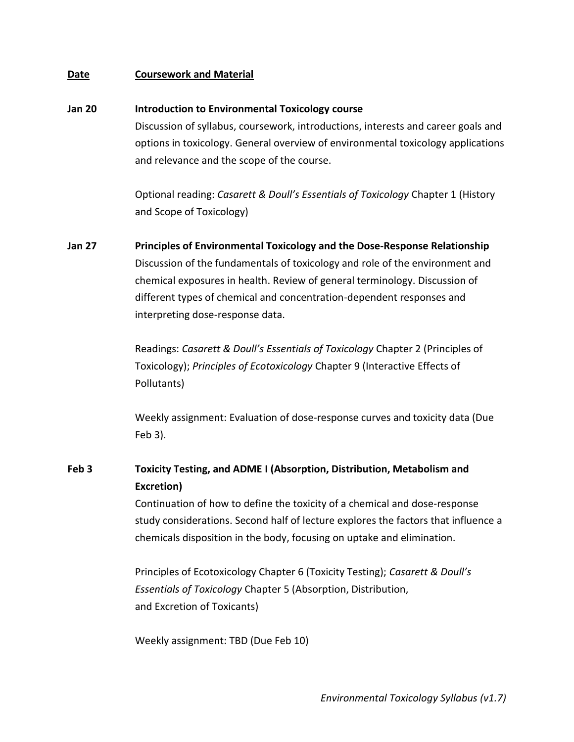#### **Date Coursework and Material**

#### **Jan 20 Introduction to Environmental Toxicology course**

Discussion of syllabus, coursework, introductions, interests and career goals and options in toxicology. General overview of environmental toxicology applications and relevance and the scope of the course.

Optional reading: *Casarett & Doull's Essentials of Toxicology* Chapter 1 (History and Scope of Toxicology)

**Jan 27 Principles of Environmental Toxicology and the Dose-Response Relationship** Discussion of the fundamentals of toxicology and role of the environment and chemical exposures in health. Review of general terminology. Discussion of different types of chemical and concentration-dependent responses and interpreting dose-response data.

> Readings: *Casarett & Doull's Essentials of Toxicology* Chapter 2 (Principles of Toxicology); *Principles of Ecotoxicology* Chapter 9 (Interactive Effects of Pollutants)

Weekly assignment: Evaluation of dose-response curves and toxicity data (Due Feb 3).

# **Feb 3 Toxicity Testing, and ADME I (Absorption, Distribution, Metabolism and Excretion)**

Continuation of how to define the toxicity of a chemical and dose-response study considerations. Second half of lecture explores the factors that influence a chemicals disposition in the body, focusing on uptake and elimination.

Principles of Ecotoxicology Chapter 6 (Toxicity Testing); *Casarett & Doull's Essentials of Toxicology* Chapter 5 (Absorption, Distribution, and Excretion of Toxicants)

Weekly assignment: TBD (Due Feb 10)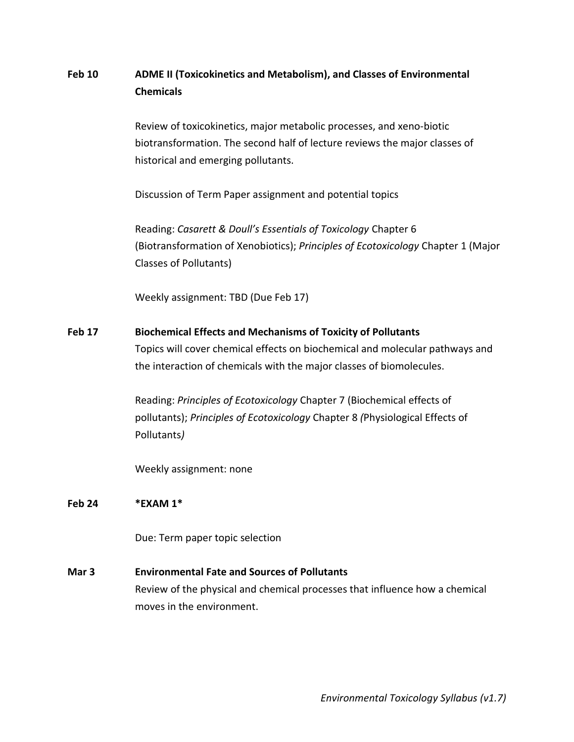# **Feb 10 ADME II (Toxicokinetics and Metabolism), and Classes of Environmental Chemicals**

Review of toxicokinetics, major metabolic processes, and xeno-biotic biotransformation. The second half of lecture reviews the major classes of historical and emerging pollutants.

Discussion of Term Paper assignment and potential topics

Reading: *Casarett & Doull's Essentials of Toxicology* Chapter 6 (Biotransformation of Xenobiotics); *Principles of Ecotoxicology* Chapter 1 (Major Classes of Pollutants)

Weekly assignment: TBD (Due Feb 17)

# **Feb 17 Biochemical Effects and Mechanisms of Toxicity of Pollutants** Topics will cover chemical effects on biochemical and molecular pathways and the interaction of chemicals with the major classes of biomolecules.

Reading: *Principles of Ecotoxicology* Chapter 7 (Biochemical effects of pollutants); *Principles of Ecotoxicology* Chapter 8 *(*Physiological Effects of Pollutants*)*

Weekly assignment: none

#### **Feb 24 \*EXAM 1\***

Due: Term paper topic selection

#### **Mar 3 Environmental Fate and Sources of Pollutants**

Review of the physical and chemical processes that influence how a chemical moves in the environment.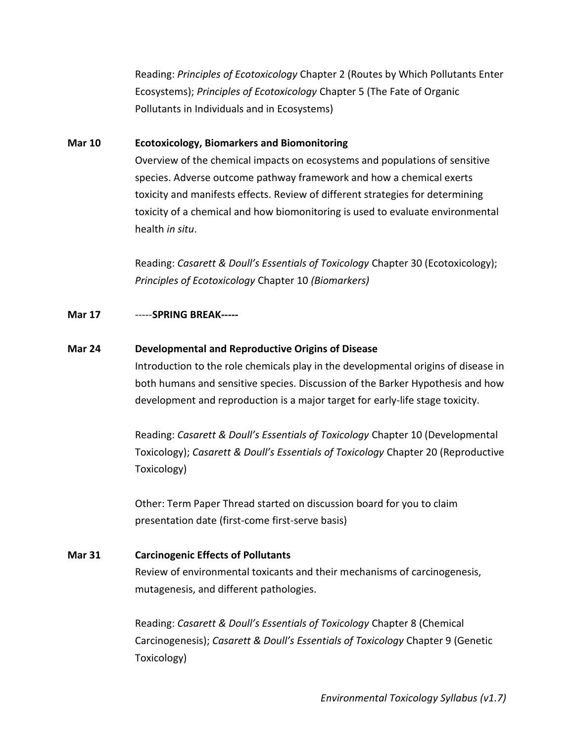Reading: *Principles of Ecotoxicology* Chapter 2 (Routes by Which Pollutants Enter Ecosystems); *Principles of Ecotoxicology* Chapter 5 (The Fate of Organic Pollutants in Individuals and in Ecosystems)

### **Mar 10 Ecotoxicology, Biomarkers and Biomonitoring**

Overview of the chemical impacts on ecosystems and populations of sensitive species. Adverse outcome pathway framework and how a chemical exerts toxicity and manifests effects. Review of different strategies for determining toxicity of a chemical and how biomonitoring is used to evaluate environmental health *in situ*.

Reading: *Casarett & Doull's Essentials of Toxicology* Chapter 30 (Ecotoxicology); *Principles of Ecotoxicology* Chapter 10 *(Biomarkers)*

### **Mar 17** -----**SPRING BREAK-----**

#### **Mar 24 Developmental and Reproductive Origins of Disease**

Introduction to the role chemicals play in the developmental origins of disease in both humans and sensitive species. Discussion of the Barker Hypothesis and how development and reproduction is a major target for early-life stage toxicity.

Reading: *Casarett & Doull's Essentials of Toxicology* Chapter 10 (Developmental Toxicology); *Casarett & Doull's Essentials of Toxicology* Chapter 20 (Reproductive Toxicology)

Other: Term Paper Thread started on discussion board for you to claim presentation date (first-come first-serve basis)

# **Mar 31 Carcinogenic Effects of Pollutants**

Review of environmental toxicants and their mechanisms of carcinogenesis, mutagenesis, and different pathologies.

Reading: *Casarett & Doull's Essentials of Toxicology* Chapter 8 (Chemical Carcinogenesis); *Casarett & Doull's Essentials of Toxicology* Chapter 9 (Genetic Toxicology)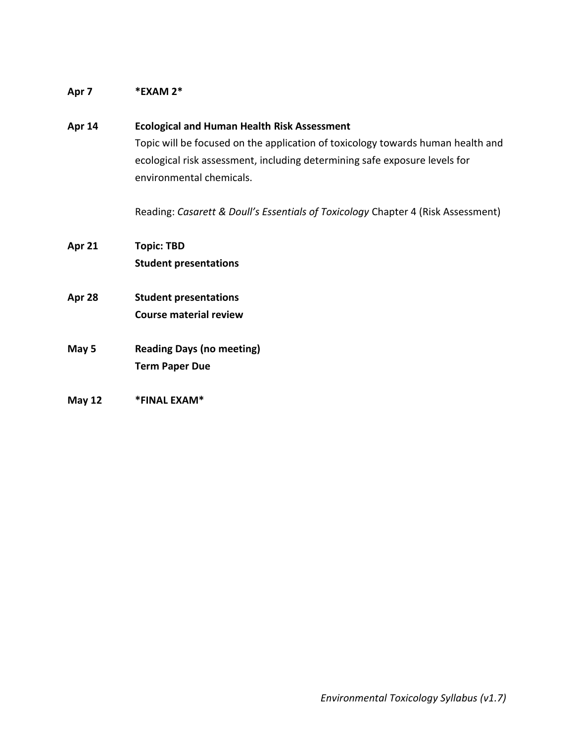### **Apr 7 \*EXAM 2\***

# **Apr 14 Ecological and Human Health Risk Assessment** Topic will be focused on the application of toxicology towards human health and ecological risk assessment, including determining safe exposure levels for environmental chemicals. Reading: *Casarett & Doull's Essentials of Toxicology* Chapter 4 (Risk Assessment) **Apr 21 Topic: TBD Student presentations Apr 28 Student presentations**

- **Course material review**
- **May 5 Reading Days (no meeting) Term Paper Due**
- **May 12 \*FINAL EXAM\***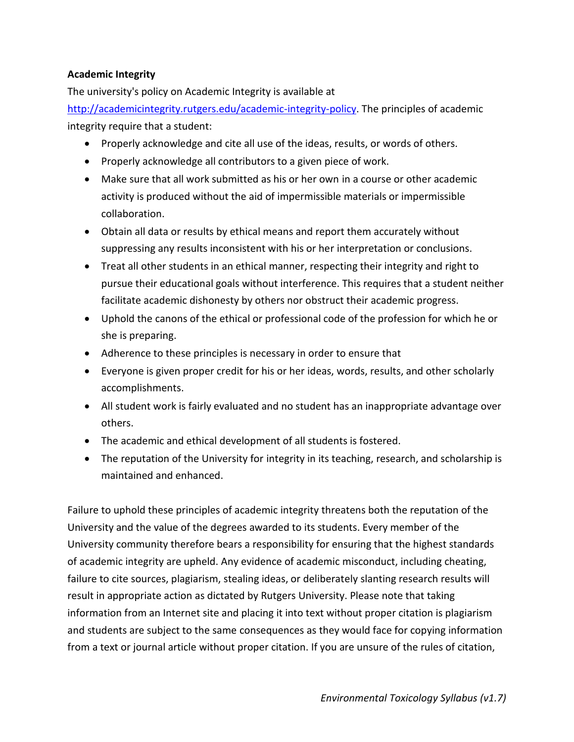# **Academic Integrity**

The university's policy on Academic Integrity is available at

[http://academicintegrity.rutgers.edu/academic-integrity-policy.](http://academicintegrity.rutgers.edu/academic-integrity-policy) The principles of academic integrity require that a student:

- Properly acknowledge and cite all use of the ideas, results, or words of others.
- Properly acknowledge all contributors to a given piece of work.
- Make sure that all work submitted as his or her own in a course or other academic activity is produced without the aid of impermissible materials or impermissible collaboration.
- Obtain all data or results by ethical means and report them accurately without suppressing any results inconsistent with his or her interpretation or conclusions.
- Treat all other students in an ethical manner, respecting their integrity and right to pursue their educational goals without interference. This requires that a student neither facilitate academic dishonesty by others nor obstruct their academic progress.
- Uphold the canons of the ethical or professional code of the profession for which he or she is preparing.
- Adherence to these principles is necessary in order to ensure that
- Everyone is given proper credit for his or her ideas, words, results, and other scholarly accomplishments.
- All student work is fairly evaluated and no student has an inappropriate advantage over others.
- The academic and ethical development of all students is fostered.
- The reputation of the University for integrity in its teaching, research, and scholarship is maintained and enhanced.

Failure to uphold these principles of academic integrity threatens both the reputation of the University and the value of the degrees awarded to its students. Every member of the University community therefore bears a responsibility for ensuring that the highest standards of academic integrity are upheld. Any evidence of academic misconduct, including cheating, failure to cite sources, plagiarism, stealing ideas, or deliberately slanting research results will result in appropriate action as dictated by Rutgers University. Please note that taking information from an Internet site and placing it into text without proper citation is plagiarism and students are subject to the same consequences as they would face for copying information from a text or journal article without proper citation. If you are unsure of the rules of citation,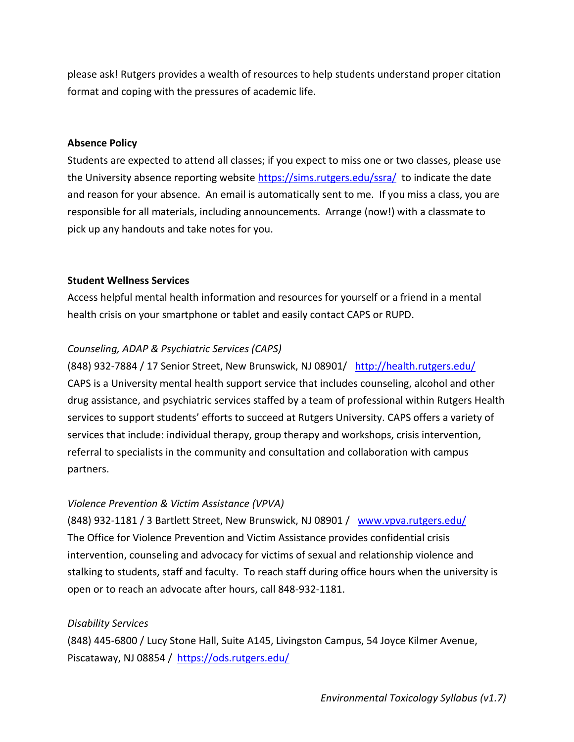please ask! Rutgers provides a wealth of resources to help students understand proper citation format and coping with the pressures of academic life.

#### **Absence Policy**

Students are expected to attend all classes; if you expect to miss one or two classes, please use the University absence reporting website<https://sims.rutgers.edu/ssra/>to indicate the date and reason for your absence. An email is automatically sent to me. If you miss a class, you are responsible for all materials, including announcements. Arrange (now!) with a classmate to pick up any handouts and take notes for you.

#### **Student Wellness Services**

Access helpful mental health information and resources for yourself or a friend in a mental health crisis on your smartphone or tablet and easily contact CAPS or RUPD.

#### *Counseling, ADAP & Psychiatric Services (CAPS)*

(848) 932-7884 / 17 Senior Street, New Brunswick, NJ 08901/ <http://health.rutgers.edu/> CAPS is a University mental health support service that includes counseling, alcohol and other drug assistance, and psychiatric services staffed by a team of professional within Rutgers Health services to support students' efforts to succeed at Rutgers University. CAPS offers a variety of services that include: individual therapy, group therapy and workshops, crisis intervention, referral to specialists in the community and consultation and collaboration with campus partners.

#### *Violence Prevention & Victim Assistance (VPVA)*

(848) 932-1181 / 3 Bartlett Street, New Brunswick, NJ 08901 / [www.vpva.rutgers.edu/](http://www.vpva.rutgers.edu/)  The Office for Violence Prevention and Victim Assistance provides confidential crisis intervention, counseling and advocacy for victims of sexual and relationship violence and stalking to students, staff and faculty. To reach staff during office hours when the university is open or to reach an advocate after hours, call 848-932-1181.

#### *Disability Services*

(848) 445-6800 / Lucy Stone Hall, Suite A145, Livingston Campus, 54 Joyce Kilmer Avenue, Piscataway, NJ 08854 / <https://ods.rutgers.edu/>